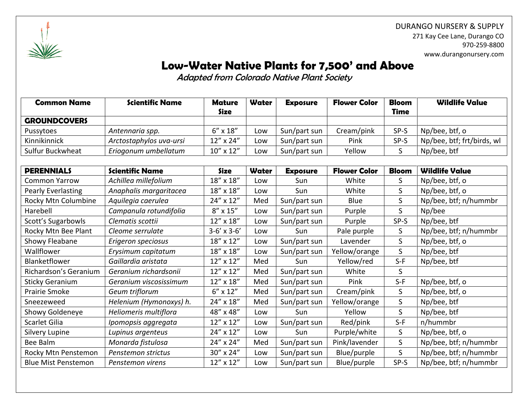

DURANGO NURSERY & SUPPLY 271 Kay Cee Lane, Durango CO 970-259-8800 www.durangonursery.com

## **Low-Water Native Plants for 7,500' and Above**

Adapted from Colorado Native Plant Society

| <b>Common Name</b>  | <b>Scientific Name</b>  | <b>Mature</b>     | Water | <b>Exposure</b> | <b>Flower Color</b> | <b>Bloom</b> | <b>Wildlife Value</b>      |
|---------------------|-------------------------|-------------------|-------|-----------------|---------------------|--------------|----------------------------|
|                     |                         | <b>Size</b>       |       |                 |                     | <b>Time</b>  |                            |
| <b>GROUNDCOVERS</b> |                         |                   |       |                 |                     |              |                            |
| Pussytoes           | Antennaria spp.         | $6'' \times 18''$ | Low   | Sun/part sun    | Cream/pink          | SP-S         | Np/bee, btf, o             |
| Kinnikinnick        | Arctostaphylos uva-ursi | $12''$ x $24''$   | Low   | Sun/part sun    | Pink                | SP-S         | Np/bee, btf; frt/birds, wl |
| Sulfur Buckwheat    | Eriogonum umbellatum    | $10''$ x $12''$   | Low   | Sun/part sun    | Yellow              |              | Np/bee, btf                |

| <b>PERENNIALS</b>          | <b>Scientific Name</b>  | <b>Size</b>        | Water | <b>Exposure</b> | <b>Flower Color</b> | <b>Bloom</b> | <b>Wildlife Value</b> |
|----------------------------|-------------------------|--------------------|-------|-----------------|---------------------|--------------|-----------------------|
| <b>Common Yarrow</b>       | Achillea millefolium    | 18" x 18"          | Low   | Sun             | White               | S            | Np/bee, btf, o        |
| Pearly Everlasting         | Anaphalis margaritacea  | 18" x 18"          | Low   | Sun             | White               | S            | Np/bee, btf, o        |
| Rocky Mtn Columbine        | Aquilegia caerulea      | 24" x 12"          | Med   | Sun/part sun    | Blue                | S            | Np/bee, btf; n/hummbr |
| Harebell                   | Campanula rotundifolia  | $8''$ x $15''$     | Low   | Sun/part sun    | Purple              | S            | Np/bee                |
| Scott's Sugarbowls         | Clematis scottii        | 12" x 18"          | Low   | Sun/part sun    | Purple              | SP-S         | Np/bee, btf           |
| Rocky Mtn Bee Plant        | Cleome serrulate        | $3-6' \times 3-6'$ | Low   | Sun             | Pale purple         | S            | Np/bee, btf; n/hummbr |
| Showy Fleabane             | Erigeron speciosus      | 18" x 12"          | Low   | Sun/part sun    | Lavender            | S            | Np/bee, btf, o        |
| Wallflower                 | Erysimum capitatum      | 18" x 18"          | Low   | Sun/part sun    | Yellow/orange       | $\mathsf{S}$ | Np/bee, btf           |
| Blanketflower              | Gaillardia aristata     | 12" x 12"          | Med   | Sun             | Yellow/red          | $S-F$        | Np/bee, btf           |
| Richardson's Geranium      | Geranium richardsonii   | 12" x 12"          | Med   | Sun/part sun    | White               | S            |                       |
| <b>Sticky Geranium</b>     | Geranium viscosissimum  | 12" x 18"          | Med   | Sun/part sun    | Pink                | $S-F$        | Np/bee, btf, o        |
| <b>Prairie Smoke</b>       | Geum triflorum          | $6'' \times 12''$  | Med   | Sun/part sun    | Cream/pink          | S            | Np/bee, btf, o        |
| Sneezeweed                 | Helenium (Hymonoxys) h. | 24" x 18"          | Med   | Sun/part sun    | Yellow/orange       | S            | Np/bee, btf           |
| Showy Goldeneye            | Heliomeris multiflora   | 48" x 48"          | Low   | Sun             | Yellow              | $\mathsf{S}$ | Np/bee, btf           |
| Scarlet Gilia              | Ipomopsis aggregata     | 12" x 12"          | Low   | Sun/part sun    | Red/pink            | $S-F$        | n/hummbr              |
| Silvery Lupine             | Lupinus argenteus       | 24" x 12"          | Low   | Sun             | Purple/white        | S            | Np/bee, btf, o        |
| Bee Balm                   | Monarda fistulosa       | 24" x 24"          | Med   | Sun/part sun    | Pink/lavender       | S.           | Np/bee, btf; n/hummbr |
| Rocky Mtn Penstemon        | Penstemon strictus      | 30" x 24"          | Low   | Sun/part sun    | Blue/purple         | S            | Np/bee, btf; n/hummbr |
| <b>Blue Mist Penstemon</b> | Penstemon virens        | 12" x 12"          | Low   | Sun/part sun    | Blue/purple         | SP-S         | Np/bee, btf; n/hummbr |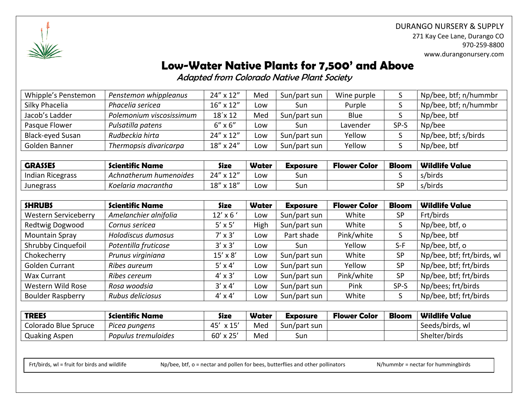

DURANGO NURSERY & SUPPLY 271 Kay Cee Lane, Durango CO 970-259-8800 www.durangonursery.com

# **Low-Water Native Plants for 7,500' and Above**

Adapted from Colorado Native Plant Society

| Whipple's Penstemon     | Penstemon whippleanus    | 24" x 12"          | Med | Sun/part sun | Wine purple |      | Np/bee, btf; n/hummbr |
|-------------------------|--------------------------|--------------------|-----|--------------|-------------|------|-----------------------|
| Silky Phacelia          | Phacelia sericea         | $16'' \times 12''$ | Low | Sun          | Purple      |      | Np/bee, btf; n/hummbr |
| Jacob's Ladder          | Polemonium viscosissimum | $18'$ x 12         | Med | Sun/part sun | Blue        |      | Np/bee, btf           |
| Pasque Flower           | Pulsatilla patens        | $6'' \times 6''$   | Low | Sun          | Lavender    | SP-S | Np/bee                |
| <b>Black-eyed Susan</b> | Rudbeckia hirta          | 24" x 12"          | Low | Sun/part sun | Yellow      |      | Np/bee, btf; s/birds  |
| Golden Banner           | Thermopsis divaricarpa   | 18" x 24"          | Low | Sun/part sun | Yellow      |      | Np/bee, btf           |

| <b>GRASSES</b>          | <b>Scientific Name</b> | <b>Size</b>     | Water | <b>Exposure</b> | <b>Flower Color</b> | <b>Bloom</b> | <b>Wildlife Value</b> |
|-------------------------|------------------------|-----------------|-------|-----------------|---------------------|--------------|-----------------------|
| <b>Indian Ricegrass</b> | Achnatherum humenoides | 24" x 12"       | -ow   | sur             |                     |              | s/birds               |
| <b>Junegrass</b>        | Koelaria macrantha     | $18''$ x $18''$ | ∟ow   | sur             |                     | <b>SP</b>    | s/birds               |

| <b>SHRUBS</b>               | <b>Scientific Name</b> | <b>Size</b>     | <b>Water</b> | <b>Exposure</b> | <b>Flower Color</b> | <b>Bloom</b> | <b>Wildlife Value</b>      |
|-----------------------------|------------------------|-----------------|--------------|-----------------|---------------------|--------------|----------------------------|
| <b>Western Serviceberry</b> | Amelanchier alnifolia  | $12'$ x 6 $'$   | Low          | Sun/part sun    | White               | SP           | Frt/birds                  |
| Redtwig Dogwood             | Cornus sericea         | $5' \times 5'$  | High         | Sun/part sun    | White               | S            | Np/bee, btf, o             |
| <b>Mountain Spray</b>       | Holodiscus dumosus     | $7' \times 3'$  | Low          | Part shade      | Pink/white          | S            | Np/bee, btf                |
| Shrubby Cinquefoil          | Potentilla fruticose   | $3' \times 3'$  | Low          | Sun             | Yellow              | $S-F$        | Np/bee, btf, o             |
| Chokecherry                 | Prunus virginiana      | $15' \times 8'$ | Low          | Sun/part sun    | White               | <b>SP</b>    | Np/bee, btf; frt/birds, wl |
| <b>Golden Currant</b>       | Ribes aureum           | $5'$ x 4'       | Low          | Sun/part sun    | Yellow              | <b>SP</b>    | Np/bee, btf; frt/birds     |
| <b>Wax Currant</b>          | Ribes cereum           | $4' \times 3'$  | Low          | Sun/part sun    | Pink/white          | SP           | Np/bee, btf; frt/birds     |
| Western Wild Rose           | Rosa woodsia           | $3' \times 4'$  | Low          | Sun/part sun    | Pink                | SP-S         | Np/bees; frt/birds         |
| <b>Boulder Raspberry</b>    | Rubus deliciosus       | $4' \times 4'$  | Low          | Sun/part sun    | White               |              | Np/bee, btf; frt/birds     |

| <b>TREES</b>         | <b>Scientific Name</b> | Size                        | Water | <b>Exposure</b> | <b>Flower Color</b> | <b>Bloom</b> | <b>Wildlife Value</b> |
|----------------------|------------------------|-----------------------------|-------|-----------------|---------------------|--------------|-----------------------|
| Colorado Blue Spruce | Picea pungens          | 45<br>$\times$ 15 $^\prime$ | Med   | Sun/part sun    |                     |              | Seeds/birds, wl       |
| <b>Quaking Aspen</b> | Populus tremuloides    | $60' \times 25'$            | Med   | Sun             |                     |              | Shelter/birds         |

Frt/birds, wl = fruit for birds and wildlife Mp/bee, btf, o = nectar and pollen for bees, butterflies and other pollinators N/hummbr = nectar for hummingbirds